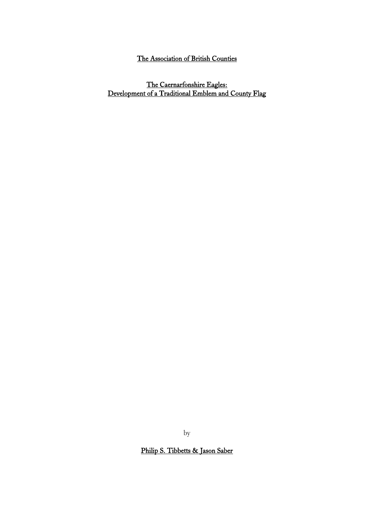# The Association of British Counties

The Caernarfonshire Eagles: Development of a Traditional Emblem and County Flag

by

Philip S. Tibbetts & Jason Saber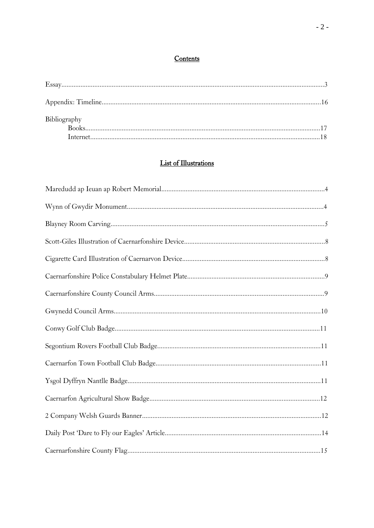## Contents

| Bibliography |  |
|--------------|--|
|              |  |
|              |  |

# **List of Illustrations**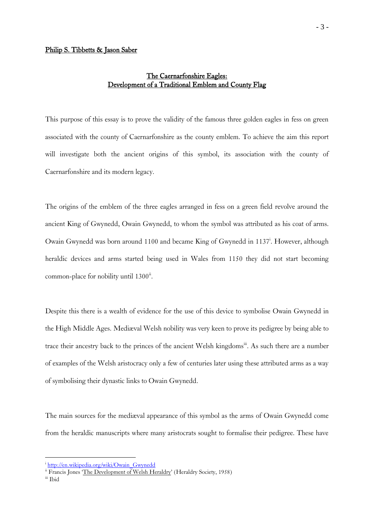## The Caernarfonshire Eagles: Development of a Traditional Emblem and County Flag

This purpose of this essay is to prove the validity of the famous three golden eagles in fess on green associated with the county of Caernarfonshire as the county emblem. To achieve the aim this report will investigate both the ancient origins of this symbol, its association with the county of Caernarfonshire and its modern legacy.

The origins of the emblem of the three eagles arranged in fess on a green field revolve around the ancient King of Gwynedd, Owain Gwynedd, to whom the symbol was attributed as his coat of arms. Owain Gwynedd was born around 1100 and became King of Gwynedd in 1137<sup>i</sup>. However, although heraldic devices and arms started being used in Wales from 1150 they did not start becoming common-place for nobility until 1300<sup>ii</sup>.

Despite this there is a wealth of evidence for the use of this device to symbolise Owain Gwynedd in the High Middle Ages. Mediæval Welsh nobility was very keen to prove its pedigree by being able to trace their ancestry back to the princes of the ancient Welsh kingdoms<sup>iii</sup>. As such there are a number of examples of the Welsh aristocracy only a few of centuries later using these attributed arms as a way of symbolising their dynastic links to Owain Gwynedd.

The main sources for the mediæval appearance of this symbol as the arms of Owain Gwynedd come from the heraldic manuscripts where many aristocrats sought to formalise their pedigree. These have

<sup>&</sup>lt;sup>i</sup> [http://en.wikipedia.org/wiki/Owain\\_Gwynedd](http://en.wikipedia.org/wiki/Owain_Gwynedd)

<sup>&</sup>lt;sup>ii</sup> Francis Jones 'The Development of Welsh Heraldry' (Heraldry Society, 1958)

iii Ibid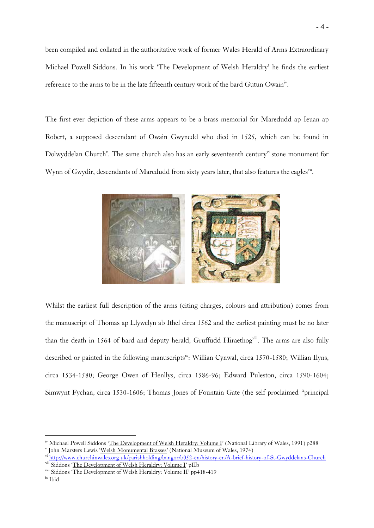been compiled and collated in the authoritative work of former Wales Herald of Arms Extraordinary Michael Powell Siddons. In his work 'The Development of Welsh Heraldry' he finds the earliest reference to the arms to be in the late fifteenth century work of the bard Gutun Owain<sup>iv</sup>.

The first ever depiction of these arms appears to be a brass memorial for Maredudd ap Ieuan ap Robert, a supposed descendant of Owain Gwynedd who died in 1525, which can be found in Dolwyddelan Church<sup>v</sup>. The same church also has an early seventeenth century<sup>vi</sup> stone monument for Wynn of Gwydir, descendants of Maredudd from sixty years later, that also features the eaglesvii.



Whilst the earliest full description of the arms (citing charges, colours and attribution) comes from the manuscript of Thomas ap Llywelyn ab Ithel circa 1562 and the earliest painting must be no later than the death in 1564 of bard and deputy herald, Gruffudd Hiraethog<sup>viii</sup>. The arms are also fully described or painted in the following manuscripts<sup>ix</sup>: Willian Cynwal, circa 1570-1580; Willian Ilyns, circa 1534-1580; George Owen of Henllys, circa 1586-96; Edward Puleston, circa 1590-1604; Simwynt Fychan, circa 1530-1606; Thomas Jones of Fountain Gate (the self proclaimed "principal

iv Michael Powell Siddons 'The Development of Welsh Heraldry: Volume I' (National Library of Wales, 1991) p288 <sup>v</sup> John Marsters Lewis 'Welsh Monumental Brasses' (National Museum of Wales, 1974)

vi <http://www.churchinwales.org.uk/parishholding/bangor/b052-en/history-en/A-brief-history-of-St-Gwyddelans-Church> vii Siddons 'The Development of Welsh Heraldry: Volume I' pIIb

viii Siddons 'The Development of Welsh Heraldry: Volume II' pp418-419

ix Ibid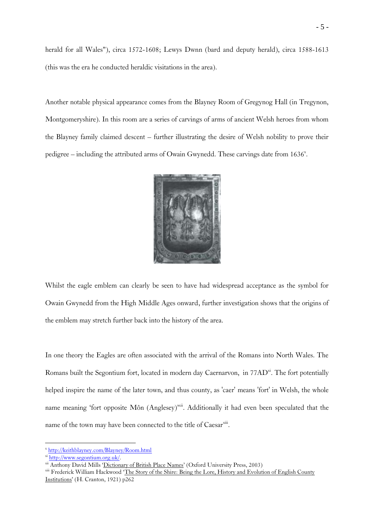herald for all Wales"), circa 1572-1608; Lewys Dwnn (bard and deputy herald), circa 1588-1613 (this was the era he conducted heraldic visitations in the area).

Another notable physical appearance comes from the Blayney Room of Gregynog Hall (in Tregynon, Montgomeryshire). In this room are a series of carvings of arms of ancient Welsh heroes from whom the Blayney family claimed descent – further illustrating the desire of Welsh nobility to prove their pedigree  $-$  including the attributed arms of Owain Gwynedd. These carvings date from  $1636^{\circ}$ .



Whilst the eagle emblem can clearly be seen to have had widespread acceptance as the symbol for Owain Gwynedd from the High Middle Ages onward, further investigation shows that the origins of the emblem may stretch further back into the history of the area.

In one theory the Eagles are often associated with the arrival of the Romans into North Wales. The Romans built the Segontium fort, located in modern day Caernarvon, in 77AD<sup>xi</sup>. The fort potentially helped inspire the name of the later town, and thus county, as 'caer' means 'fort' in Welsh, the whole name meaning 'fort opposite Môn (Anglesey)<sup>xii</sup>. Additionally it had even been speculated that the name of the town may have been connected to the title of Caesarxiii.

x <http://keithblayney.com/Blayney/Room.html>

xi [http://www.segontium.org.uk/.](http://www.segontium.org.uk/)

<sup>&</sup>lt;sup>xii</sup> Anthony David Mills 'Dictionary of British Place Names' (Oxford University Press, 2003)

xiii Frederick William Hackwood 'The Story of the Shire: Being the Lore, History and Evolution of English County Institutions' (H. Cranton, 1921) p262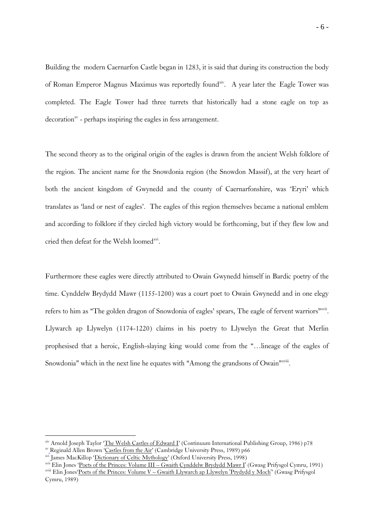Building the modern Caernarfon Castle began in 1283, it is said that during its construction the body of Roman Emperor Magnus Maximus was reportedly found<sup>xiv</sup>. A year later the Eagle Tower was completed. The Eagle Tower had three turrets that historically had a stone eagle on top as decoration<sup>xv</sup> - perhaps inspiring the eagles in fess arrangement.

The second theory as to the original origin of the eagles is drawn from the ancient Welsh folklore of the region. The ancient name for the Snowdonia region (the Snowdon Massif), at the very heart of both the ancient kingdom of Gwynedd and the county of Caernarfonshire, was 'Eryri' which translates as 'land or nest of eagles'. The eagles of this region themselves became a national emblem and according to folklore if they circled high victory would be forthcoming, but if they flew low and cried then defeat for the Welsh loomed<sup>xvi</sup>.

Furthermore these eagles were directly attributed to Owain Gwynedd himself in Bardic poetry of the time. Cynddelw Brydydd Mawr (1155-1200) was a court poet to Owain Gwynedd and in one elegy refers to him as "The golden dragon of Snowdonia of eagles' spears, The eagle of fervent warriors"xvii. Llywarch ap Llywelyn (1174-1220) claims in his poetry to Llywelyn the Great that Merlin prophesised that a heroic, English-slaying king would come from the "…lineage of the eagles of Snowdonia" which in the next line he equates with "Among the grandsons of Owain"<sup>xviii</sup>.

<u>.</u>

xiv Arnold Joseph Taylor 'The Welsh Castles of Edward I' (Continuum International Publishing Group, 1986) p78

xv Reginald Allen Brown 'Castles from the Air' (Cambridge University Press, 1989) p66

xvi James MacKillop 'Dictionary of Celtic Mythology' (Oxford University Press, 1998)

xvii Elin Jones 'Poets of the Princes: Volume III – Gwaith Cynddelw Brydydd Mawr I' (Gwasg Prifysgol Cymru, 1991)

xviii Elin Jones'Poets of the Princes: Volume V – Gwaith Llywarch ap Llywelyn 'Prydydd y Moch'' (Gwasg Prifysgol Cymru, 1989)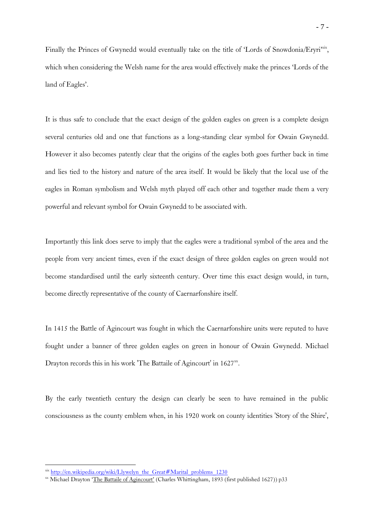Finally the Princes of Gwynedd would eventually take on the title of 'Lords of Snowdonia/Eryri<sup>xix</sup>, which when considering the Welsh name for the area would effectively make the princes 'Lords of the land of Eagles'.

It is thus safe to conclude that the exact design of the golden eagles on green is a complete design several centuries old and one that functions as a long-standing clear symbol for Owain Gwynedd. However it also becomes patently clear that the origins of the eagles both goes further back in time and lies tied to the history and nature of the area itself. It would be likely that the local use of the eagles in Roman symbolism and Welsh myth played off each other and together made them a very powerful and relevant symbol for Owain Gwynedd to be associated with.

Importantly this link does serve to imply that the eagles were a traditional symbol of the area and the people from very ancient times, even if the exact design of three golden eagles on green would not become standardised until the early sixteenth century. Over time this exact design would, in turn, become directly representative of the county of Caernarfonshire itself.

In 1415 the Battle of Agincourt was fought in which the Caernarfonshire units were reputed to have fought under a banner of three golden eagles on green in honour of Owain Gwynedd. Michael Drayton records this in his work 'The Battaile of Agincourt' in 1627<sup>xx</sup>.

By the early twentieth century the design can clearly be seen to have remained in the public consciousness as the county emblem when, in his 1920 work on county identities 'Story of the Shire',

 $x$ <sup>xix</sup> [http://en.wikipedia.org/wiki/Llywelyn\\_the\\_Great#Marital\\_problems\\_1230](http://en.wikipedia.org/wiki/Llywelyn_the_Great#Marital_problems_1230)

<sup>&</sup>lt;sup>xx</sup> Michael Drayton 'The Battaile of Agincourt' (Charles Whittingham, 1893 (first published 1627)) p33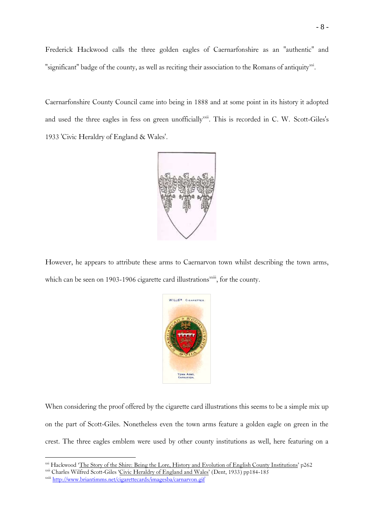Frederick Hackwood calls the three golden eagles of Caernarfonshire as an "authentic" and "significant" badge of the county, as well as reciting their association to the Romans of antiquity<sup>xxi</sup>.

Caernarfonshire County Council came into being in 1888 and at some point in its history it adopted and used the three eagles in fess on green unofficially<sup>xxii</sup>. This is recorded in C. W. Scott-Giles's 1933 'Civic Heraldry of England & Wales'.



However, he appears to attribute these arms to Caernarvon town whilst describing the town arms, which can be seen on 1903-1906 cigarette card illustrations<sup>xxiii</sup>, for the county.



When considering the proof offered by the cigarette card illustrations this seems to be a simple mix up on the part of Scott-Giles. Nonetheless even the town arms feature a golden eagle on green in the crest. The three eagles emblem were used by other county institutions as well, here featuring on a

<sup>&</sup>lt;sup>xxi</sup> Hackwood '<u>The Story of the Shire: Being the Lore, History and Evolution of English County Institutions'</u> p262

xxii Charles Wilfred Scott-Giles 'Civic Heraldry of England and Wales' (Dent, 1933) pp184-185

xxiii <http://www.briantimms.net/cigarettecards/imagesba/carnarvon.gif>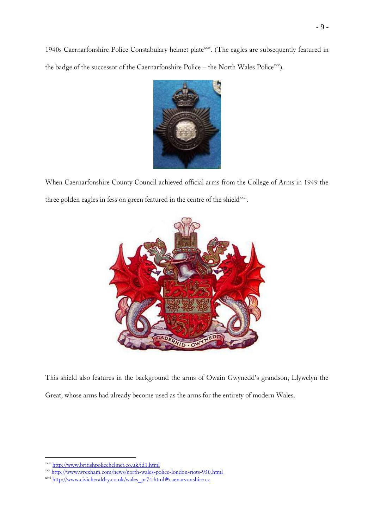1940s Caernarfonshire Police Constabulary helmet plate<sup>xxiv</sup>. (The eagles are subsequently featured in the badge of the successor of the Caernarfonshire Police – the North Wales Police<sup>xxv</sup>).



When Caernarfonshire County Council achieved official arms from the College of Arms in 1949 the three golden eagles in fess on green featured in the centre of the shield<sup>xxvi</sup>.



This shield also features in the background the arms of Owain Gwynedd's grandson, Llywelyn the Great, whose arms had already become used as the arms for the entirety of modern Wales.

xxiv <http://www.britishpolicehelmet.co.uk/id1.html>

xxv <http://www.wrexham.com/news/north-wales-police-london-riots-950.html>

xxvi [http://www.civicheraldry.co.uk/wales\\_pr74.html#caenarvonshire cc](http://www.civicheraldry.co.uk/wales_pr74.html#caenarvonshire%20cc)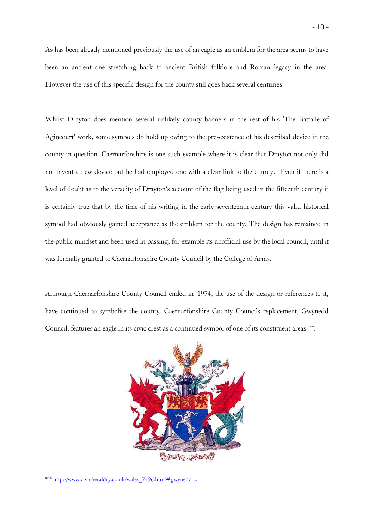As has been already mentioned previously the use of an eagle as an emblem for the area seems to have been an ancient one stretching back to ancient British folklore and Roman legacy in the area. However the use of this specific design for the county still goes back several centuries.

Whilst Drayton does mention several unlikely county banners in the rest of his 'The Battaile of Agincourt' work, some symbols do hold up owing to the pre-existence of his described device in the county in question. Caernarfonshire is one such example where it is clear that Drayton not only did not invent a new device but he had employed one with a clear link to the county. Even if there is a level of doubt as to the veracity of Drayton's account of the flag being used in the fifteenth century it is certainly true that by the time of his writing in the early seventeenth century this valid historical symbol had obviously gained acceptance as the emblem for the county. The design has remained in the public mindset and been used in passing; for example its unofficial use by the local council, until it was formally granted to Caernarfonshire County Council by the College of Arms.

Although Caernarfonshire County Council ended in 1974, the use of the design or references to it, have continued to symbolise the county. Caernarfonshire County Councils replacement, Gwynedd Council, features an eagle in its civic crest as a continued symbol of one of its constituent areas<sup>xxvii</sup>.



xxvii [http://www.civicheraldry.co.uk/wales\\_7496.html#gwynedd cc](http://www.civicheraldry.co.uk/wales_7496.html#gwynedd%20cc)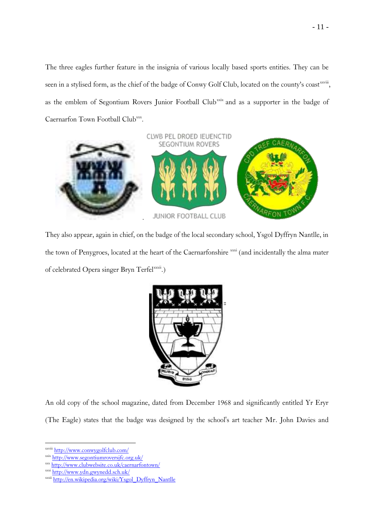The three eagles further feature in the insignia of various locally based sports entities. They can be seen in a stylised form, as the chief of the badge of Conwy Golf Club, located on the county's coastxxviii, as the emblem of Segontium Rovers Junior Football Club<sup>xxix</sup> and as a supporter in the badge of Caernarfon Town Football Clubxxx.



They also appear, again in chief, on the badge of the local secondary school, Ysgol Dyffryn Nantlle, in the town of Penygroes, located at the heart of the Caernarfonshire xxxi (and incidentally the alma mater of celebrated Opera singer Bryn Terfelxxxii.)



An old copy of the school magazine, dated from December 1968 and significantly entitled Yr Eryr (The Eagle) states that the badge was designed by the school's art teacher Mr. John Davies and

xxviii <http://www.conwygolfclub.com/>

xxix <http://www.segontiumroversjfc.org.uk/>

xxx <http://www.clubwebsite.co.uk/caernarfontown/>

xxxi <http://www.ydn.gwynedd.sch.uk/>

xxxii [http://en.wikipedia.org/wiki/Ysgol\\_Dyffryn\\_Nantlle](http://en.wikipedia.org/wiki/Ysgol_Dyffryn_Nantlle)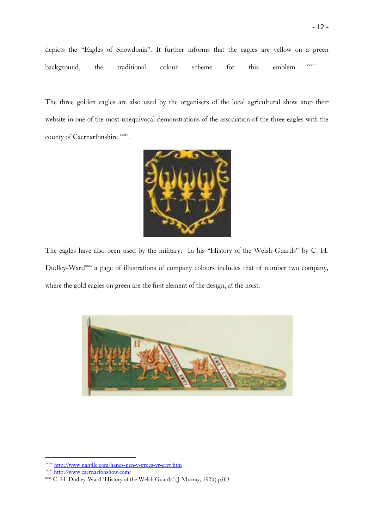The three golden eagles are also used by the organisers of the local agricultural show atop their website in one of the most unequivocal demonstrations of the association of the three eagles with the county of Caernarfonshire xxxiv.



The eagles have also been used by the military. In his "History of the Welsh Guards" by C. H. Dudley-Ward<sup>xxxv</sup> a page of illustrations of company colours includes that of number two company, where the gold eagles on green are the first element of the design, at the hoist.



<http://www.nantlle.com/hanes-pen-y-groes-yr-eryr.htm>

xxxiv <http://www.caernarfonshow.com/>

xxxv C. H. Dudley-Ward 'History of the Welsh Guards' (J Murray, 1920) p503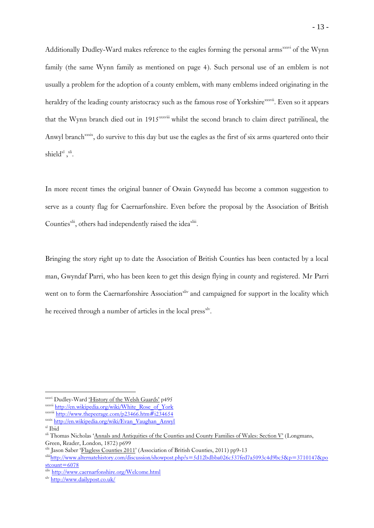Additionally Dudley-Ward makes reference to the eagles forming the personal arms<sup>xxxvi</sup> of the Wynn family (the same Wynn family as mentioned on page 4). Such personal use of an emblem is not usually a problem for the adoption of a county emblem, with many emblems indeed originating in the heraldry of the leading county aristocracy such as the famous rose of Yorkshire<sup>xxxvii</sup>. Even so it appears that the Wynn branch died out in 1915<sup>xxxviii</sup> whilst the second branch to claim direct patrilineal, the Anwyl branch<sup>xxxix</sup>, do survive to this day but use the eagles as the first of six arms quartered onto their shield $x^1$ ,  $x^i$ .

In more recent times the original banner of Owain Gwynedd has become a common suggestion to serve as a county flag for Caernarfonshire. Even before the proposal by the Association of British Counties<sup>xlii</sup>, others had independently raised the idea<sup>xliii</sup>.

Bringing the story right up to date the Association of British Counties has been contacted by a local man, Gwyndaf Parri, who has been keen to get this design flying in county and registered. Mr Parri went on to form the Caernarfonshire Association<sup>xliv</sup> and campaigned for support in the locality which he received through a number of articles in the local press<sup>xlv</sup>.

xxxvi Dudley-Ward 'History of the Welsh Guards' p495

xxxvii [http://en.wikipedia.org/wiki/White\\_Rose\\_of\\_York](http://en.wikipedia.org/wiki/White_Rose_of_York)

xxxviii <http://www.thepeerage.com/p23466.htm#i234654>

xxxix [http://en.wikipedia.org/wiki/Evan\\_Vaughan\\_Anwyl](http://en.wikipedia.org/wiki/Evan_Vaughan_Anwyl)

 $\,^{\text{xl}}$ Ibid

<sup>&</sup>lt;sup>xli</sup> Thomas Nicholas 'Annals and Antiquities of the Counties and County Families of Wales: Section V' (Longmans, Green, Reader, London, 1872) p699

xlii Jason Saber 'Flagless Counties 2011' (Association of British Counties, 2011) pp9-13

xliii[http://www.alternatehistory.com/discussion/showpost.php?s=5d12bdbba026c537fed7a5093c4d9bc5&p=3710147&po](http://www.alternatehistory.com/discussion/showpost.php?s=5d12bdbba026c537fed7a5093c4d9bc5&p=3710147&postcount=6078)  $stcount=6078$ 

xliv <http://www.caernarfonshire.org/Welcome.html>

xlv <http://www.dailypost.co.uk/>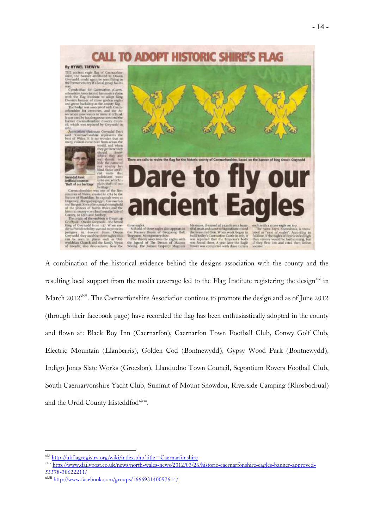

A combination of the historical evidence behind the designs association with the county and the resulting local support from the media coverage led to the Flag Institute registering the design<sup>xlvi</sup> in March 2012<sup>xlvii</sup>. The Caernarfonshire Association continue to promote the design and as of June 2012 (through their facebook page) have recorded the flag has been enthusiastically adopted in the county and flown at: Black Boy Inn (Caernarfon), Caernarfon Town Football Club, Conwy Golf Club, Electric Mountain (Llanberris), Golden Cod (Bontnewydd), Gypsy Wood Park (Bontnewydd), Indigo Jones Slate Works (Groeslon), Llandudno Town Council, Segontium Rovers Football Club, South Caernarvonshire Yacht Club, Summit of Mount Snowdon, Riverside Camping (Rhosbodrual) and the Urdd County Eisteddfodxlviii.

xlvi <http://ukflagregistry.org/wiki/index.php?title=Caernarfonshire>

xlvii [http://www.dailypost.co.uk/news/north-wales-news/2012/03/26/historic-caernarfonshire-eagles-banner-approved-](http://www.dailypost.co.uk/news/north-wales-news/2012/03/26/historic-caernarfonshire-eagles-banner-approved-55578-30622211/)[55578-30622211/](http://www.dailypost.co.uk/news/north-wales-news/2012/03/26/historic-caernarfonshire-eagles-banner-approved-55578-30622211/)

 $\frac{33376 - 300222441}{\text{Nwii } \text{http://www.facebook.com/groups/166693140097614/}}$  $\frac{33376 - 300222441}{\text{Nwii } \text{http://www.facebook.com/groups/166693140097614/}}$  $\frac{33376 - 300222441}{\text{Nwii } \text{http://www.facebook.com/groups/166693140097614/}}$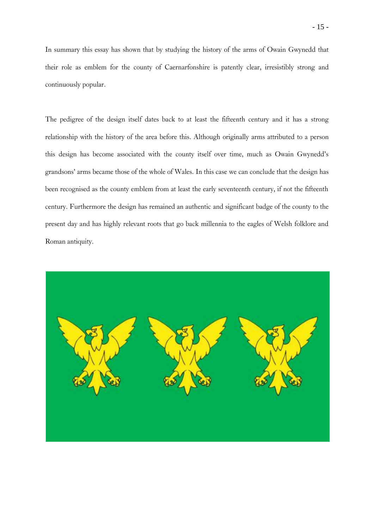In summary this essay has shown that by studying the history of the arms of Owain Gwynedd that their role as emblem for the county of Caernarfonshire is patently clear, irresistibly strong and continuously popular.

The pedigree of the design itself dates back to at least the fifteenth century and it has a strong relationship with the history of the area before this. Although originally arms attributed to a person this design has become associated with the county itself over time, much as Owain Gwynedd's grandsons' arms became those of the whole of Wales. In this case we can conclude that the design has been recognised as the county emblem from at least the early seventeenth century, if not the fifteenth century. Furthermore the design has remained an authentic and significant badge of the county to the present day and has highly relevant roots that go back millennia to the eagles of Welsh folklore and Roman antiquity.

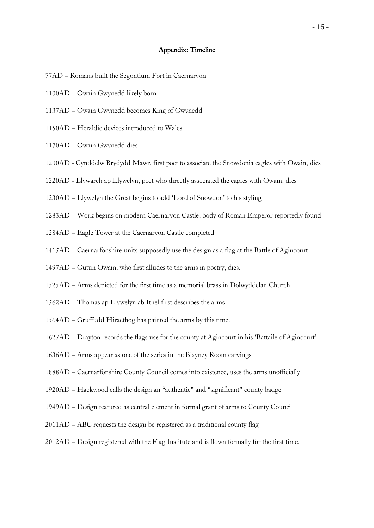#### Appendix: Timeline

- 77AD Romans built the Segontium Fort in Caernarvon
- 1100AD Owain Gwynedd likely born
- 1137AD Owain Gwynedd becomes King of Gwynedd
- 1150AD Heraldic devices introduced to Wales
- 1170AD Owain Gwynedd dies
- 1200AD Cynddelw Brydydd Mawr, first poet to associate the Snowdonia eagles with Owain, dies
- 1220AD Llywarch ap Llywelyn, poet who directly associated the eagles with Owain, dies
- 1230AD Llywelyn the Great begins to add 'Lord of Snowdon' to his styling
- 1283AD Work begins on modern Caernarvon Castle, body of Roman Emperor reportedly found
- 1284AD Eagle Tower at the Caernarvon Castle completed
- 1415AD Caernarfonshire units supposedly use the design as a flag at the Battle of Agincourt
- 1497AD Gutun Owain, who first alludes to the arms in poetry, dies.
- 1525AD Arms depicted for the first time as a memorial brass in Dolwyddelan Church
- 1562AD Thomas ap Llywelyn ab Ithel first describes the arms
- 1564AD Gruffudd Hiraethog has painted the arms by this time.
- 1627AD Drayton records the flags use for the county at Agincourt in his 'Battaile of Agincourt'
- 1636AD Arms appear as one of the series in the Blayney Room carvings
- 1888AD Caernarfonshire County Council comes into existence, uses the arms unofficially
- 1920AD Hackwood calls the design an "authentic" and "significant" county badge
- 1949AD Design featured as central element in formal grant of arms to County Council
- 2011AD ABC requests the design be registered as a traditional county flag
- 2012AD Design registered with the Flag Institute and is flown formally for the first time.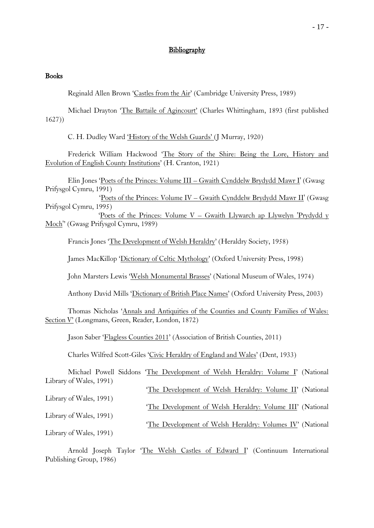### **Bibliography**

#### **Books**

Reginald Allen Brown 'Castles from the Air' (Cambridge University Press, 1989)

Michael Drayton 'The Battaile of Agincourt' (Charles Whittingham, 1893 (first published 1627))

C. H. Dudley Ward 'History of the Welsh Guards' (J Murray, 1920)

Frederick William Hackwood 'The Story of the Shire: Being the Lore, History and Evolution of English County Institutions' (H. Cranton, 1921)

Elin Jones 'Poets of the Princes: Volume III – Gwaith Cynddelw Brydydd Mawr I' (Gwasg Prifysgol Cymru, 1991)

 'Poets of the Princes: Volume IV – Gwaith Cynddelw Brydydd Mawr II' (Gwasg Prifysgol Cymru, 1995)

 'Poets of the Princes: Volume V – Gwaith Llywarch ap Llywelyn 'Prydydd y Moch'' (Gwasg Prifysgol Cymru, 1989)

Francis Jones 'The Development of Welsh Heraldry' (Heraldry Society, 1958)

James MacKillop 'Dictionary of Celtic Mythology' (Oxford University Press, 1998)

John Marsters Lewis 'Welsh Monumental Brasses' (National Museum of Wales, 1974)

Anthony David Mills 'Dictionary of British Place Names' (Oxford University Press, 2003)

Thomas Nicholas 'Annals and Antiquities of the Counties and County Families of Wales: Section V' (Longmans, Green, Reader, London, 1872)

Jason Saber 'Flagless Counties 2011' (Association of British Counties, 2011)

Charles Wilfred Scott-Giles 'Civic Heraldry of England and Wales' (Dent, 1933)

|                         | Michael Powell Siddons 'The Development of Welsh Heraldry: Volume I' (National |  |
|-------------------------|--------------------------------------------------------------------------------|--|
| Library of Wales, 1991) |                                                                                |  |
|                         | 'The Development of Welsh Heraldry: Volume II' (National                       |  |
| Library of Wales, 1991) |                                                                                |  |
|                         | 'The Development of Welsh Heraldry: Volume III' (National                      |  |
| Library of Wales, 1991) |                                                                                |  |
|                         | 'The Development of Welsh Heraldry: Volumes IV' (National                      |  |
| Library of Wales, 1991) |                                                                                |  |
|                         |                                                                                |  |
|                         | Arnold Joseph Taylor 'The Welsh Castles of Edward I' (Continuum International  |  |

Publishing Group, 1986)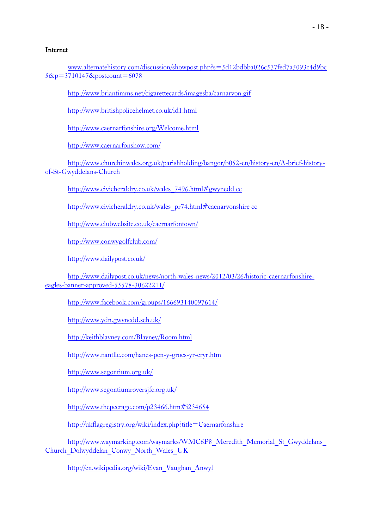## Internet

[www.alternatehistory.com/discussion/showpost.php?s=5d12bdbba026c537fed7a5093c4d9bc](http://www.alternatehistory.com/discussion/showpost.php?s=5d12bdbba026c537fed7a5093c4d9bc5&p=3710147&postcount=6078) [5&p=3710147&postcount=6078](http://www.alternatehistory.com/discussion/showpost.php?s=5d12bdbba026c537fed7a5093c4d9bc5&p=3710147&postcount=6078)

<http://www.briantimms.net/cigarettecards/imagesba/carnarvon.gif>

<http://www.britishpolicehelmet.co.uk/id1.html>

<http://www.caernarfonshire.org/Welcome.html>

<http://www.caernarfonshow.com/>

[http://www.churchinwales.org.uk/parishholding/bangor/b052-en/history-en/A-brief-history](http://www.churchinwales.org.uk/parishholding/bangor/b052-en/history-en/A-brief-history-of-St-Gwyddelans-Church)[of-St-Gwyddelans-Church](http://www.churchinwales.org.uk/parishholding/bangor/b052-en/history-en/A-brief-history-of-St-Gwyddelans-Church)

[http://www.civicheraldry.co.uk/wales\\_7496.html#gwynedd cc](http://www.civicheraldry.co.uk/wales_7496.html#gwynedd%20cc)

[http://www.civicheraldry.co.uk/wales\\_pr74.html#caenarvonshire cc](http://www.civicheraldry.co.uk/wales_pr74.html#caenarvonshire%20cc)

<http://www.clubwebsite.co.uk/caernarfontown/>

<http://www.conwygolfclub.com/>

<http://www.dailypost.co.uk/>

[http://www.dailypost.co.uk/news/north-wales-news/2012/03/26/historic-caernarfonshire](http://www.dailypost.co.uk/news/north-wales-news/2012/03/26/historic-caernarfonshire-eagles-banner-approved-55578-30622211/)[eagles-banner-approved-55578-30622211/](http://www.dailypost.co.uk/news/north-wales-news/2012/03/26/historic-caernarfonshire-eagles-banner-approved-55578-30622211/)

<http://www.facebook.com/groups/166693140097614/>

<http://www.ydn.gwynedd.sch.uk/>

<http://keithblayney.com/Blayney/Room.html>

<http://www.nantlle.com/hanes-pen-y-groes-yr-eryr.htm>

<http://www.segontium.org.uk/>

<http://www.segontiumroversjfc.org.uk/>

<http://www.thepeerage.com/p23466.htm#i234654>

<http://ukflagregistry.org/wiki/index.php?title=Caernarfonshire>

http://www.waymarking.com/waymarks/WMC6P8\_Meredith\_Memorial\_St\_Gwyddelans [Church\\_Dolwyddelan\\_Conwy\\_North\\_Wales\\_UK](http://www.waymarking.com/waymarks/WMC6P8_Meredith_Memorial_St_Gwyddelans_Church_Dolwyddelan_Conwy_North_Wales_UK)

[http://en.wikipedia.org/wiki/Evan\\_Vaughan\\_Anwyl](http://en.wikipedia.org/wiki/Evan_Vaughan_Anwyl)